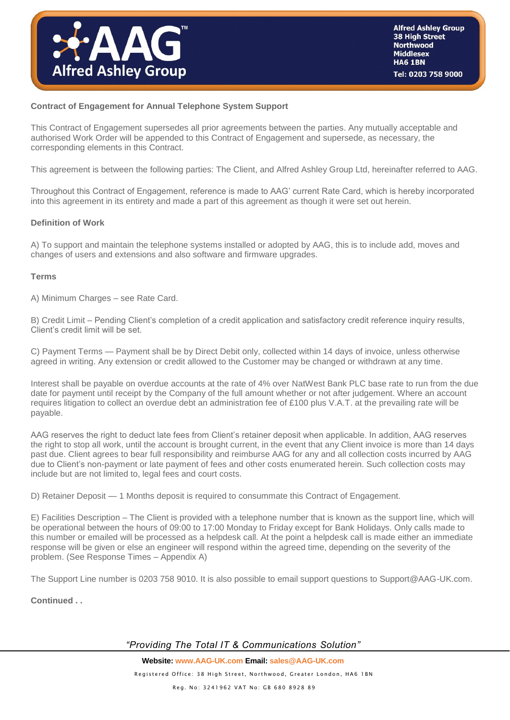

#### **Contract of Engagement for Annual Telephone System Support**

This Contract of Engagement supersedes all prior agreements between the parties. Any mutually acceptable and authorised Work Order will be appended to this Contract of Engagement and supersede, as necessary, the corresponding elements in this Contract.

This agreement is between the following parties: The Client, and Alfred Ashley Group Ltd, hereinafter referred to AAG.

Throughout this Contract of Engagement, reference is made to AAG' current Rate Card, which is hereby incorporated into this agreement in its entirety and made a part of this agreement as though it were set out herein.

#### **Definition of Work**

A) To support and maintain the telephone systems installed or adopted by AAG, this is to include add, moves and changes of users and extensions and also software and firmware upgrades.

#### **Terms**

A) Minimum Charges – see Rate Card.

B) Credit Limit – Pending Client's completion of a credit application and satisfactory credit reference inquiry results, Client's credit limit will be set.

C) Payment Terms — Payment shall be by Direct Debit only, collected within 14 days of invoice, unless otherwise agreed in writing. Any extension or credit allowed to the Customer may be changed or withdrawn at any time.

Interest shall be payable on overdue accounts at the rate of 4% over NatWest Bank PLC base rate to run from the due date for payment until receipt by the Company of the full amount whether or not after judgement. Where an account requires litigation to collect an overdue debt an administration fee of £100 plus V.A.T. at the prevailing rate will be payable.

AAG reserves the right to deduct late fees from Client's retainer deposit when applicable. In addition, AAG reserves the right to stop all work, until the account is brought current, in the event that any Client invoice is more than 14 days past due. Client agrees to bear full responsibility and reimburse AAG for any and all collection costs incurred by AAG due to Client's non-payment or late payment of fees and other costs enumerated herein. Such collection costs may include but are not limited to, legal fees and court costs.

D) Retainer Deposit — 1 Months deposit is required to consummate this Contract of Engagement.

E) Facilities Description – The Client is provided with a telephone number that is known as the support line, which will be operational between the hours of 09:00 to 17:00 Monday to Friday except for Bank Holidays. Only calls made to this number or emailed will be processed as a helpdesk call. At the point a helpdesk call is made either an immediate response will be given or else an engineer will respond within the agreed time, depending on the severity of the problem. (See Response Times – Appendix A)

The Support Line number is 0203 758 9010. It is also possible to email support questions to Support@AAG-UK.com.

**Continued . .**

*"Providing The Total IT & Communications Solution"*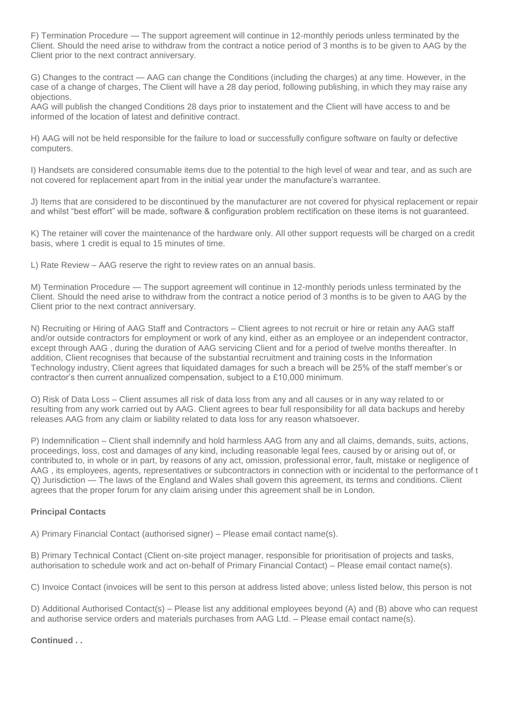F) Termination Procedure — The support agreement will continue in 12-monthly periods unless terminated by the Client. Should the need arise to withdraw from the contract a notice period of 3 months is to be given to AAG by the Client prior to the next contract anniversary.

G) Changes to the contract — AAG can change the Conditions (including the charges) at any time. However, in the case of a change of charges, The Client will have a 28 day period, following publishing, in which they may raise any objections.

AAG will publish the changed Conditions 28 days prior to instatement and the Client will have access to and be informed of the location of latest and definitive contract.

H) AAG will not be held responsible for the failure to load or successfully configure software on faulty or defective computers.

I) Handsets are considered consumable items due to the potential to the high level of wear and tear, and as such are not covered for replacement apart from in the initial year under the manufacture's warrantee.

J) Items that are considered to be discontinued by the manufacturer are not covered for physical replacement or repair and whilst "best effort" will be made, software & configuration problem rectification on these items is not guaranteed.

K) The retainer will cover the maintenance of the hardware only. All other support requests will be charged on a credit basis, where 1 credit is equal to 15 minutes of time.

L) Rate Review – AAG reserve the right to review rates on an annual basis.

M) Termination Procedure — The support agreement will continue in 12-monthly periods unless terminated by the Client. Should the need arise to withdraw from the contract a notice period of 3 months is to be given to AAG by the Client prior to the next contract anniversary.

N) Recruiting or Hiring of AAG Staff and Contractors – Client agrees to not recruit or hire or retain any AAG staff and/or outside contractors for employment or work of any kind, either as an employee or an independent contractor, except through AAG , during the duration of AAG servicing Client and for a period of twelve months thereafter. In addition, Client recognises that because of the substantial recruitment and training costs in the Information Technology industry, Client agrees that liquidated damages for such a breach will be 25% of the staff member's or contractor's then current annualized compensation, subject to a £10,000 minimum.

O) Risk of Data Loss – Client assumes all risk of data loss from any and all causes or in any way related to or resulting from any work carried out by AAG. Client agrees to bear full responsibility for all data backups and hereby releases AAG from any claim or liability related to data loss for any reason whatsoever.

P) Indemnification – Client shall indemnify and hold harmless AAG from any and all claims, demands, suits, actions, proceedings, loss, cost and damages of any kind, including reasonable legal fees, caused by or arising out of, or contributed to, in whole or in part, by reasons of any act, omission, professional error, fault, mistake or negligence of AAG , its employees, agents, representatives or subcontractors in connection with or incidental to the performance of t Q) Jurisdiction — The laws of the England and Wales shall govern this agreement, its terms and conditions. Client agrees that the proper forum for any claim arising under this agreement shall be in London.

#### **Principal Contacts**

A) Primary Financial Contact (authorised signer) – Please email contact name(s).

B) Primary Technical Contact (Client on-site project manager, responsible for prioritisation of projects and tasks, authorisation to schedule work and act on-behalf of Primary Financial Contact) – Please email contact name(s).

C) Invoice Contact (invoices will be sent to this person at address listed above; unless listed below, this person is not

D) Additional Authorised Contact(s) – Please list any additional employees beyond (A) and (B) above who can request and authorise service orders and materials purchases from AAG Ltd. – Please email contact name(s).

#### **Continued . .**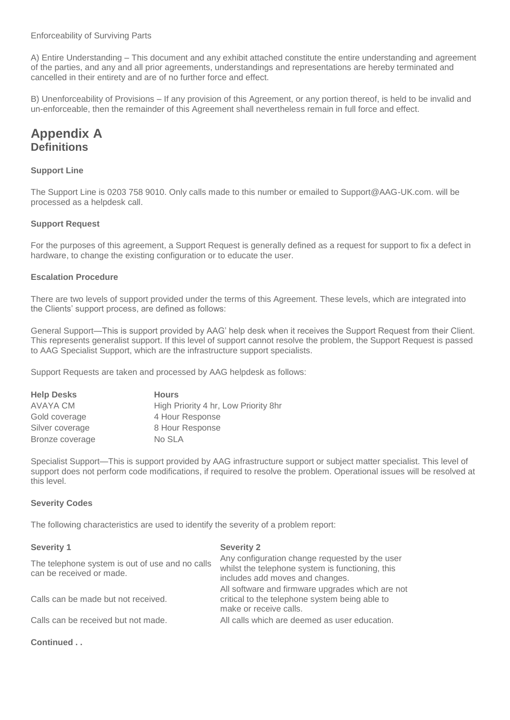Enforceability of Surviving Parts

A) Entire Understanding – This document and any exhibit attached constitute the entire understanding and agreement of the parties, and any and all prior agreements, understandings and representations are hereby terminated and cancelled in their entirety and are of no further force and effect.

B) Unenforceability of Provisions – If any provision of this Agreement, or any portion thereof, is held to be invalid and un-enforceable, then the remainder of this Agreement shall nevertheless remain in full force and effect.

# **Appendix A Definitions**

#### **Support Line**

The Support Line is 0203 758 9010. Only calls made to this number or emailed to Support@AAG-UK.com. will be processed as a helpdesk call.

### **Support Request**

For the purposes of this agreement, a Support Request is generally defined as a request for support to fix a defect in hardware, to change the existing configuration or to educate the user.

#### **Escalation Procedure**

There are two levels of support provided under the terms of this Agreement. These levels, which are integrated into the Clients' support process, are defined as follows:

General Support—This is support provided by AAG' help desk when it receives the Support Request from their Client. This represents generalist support. If this level of support cannot resolve the problem, the Support Request is passed to AAG Specialist Support, which are the infrastructure support specialists.

Support Requests are taken and processed by AAG helpdesk as follows:

| <b>Help Desks</b> | <b>Hours</b>                         |
|-------------------|--------------------------------------|
| AVAYA CM          | High Priority 4 hr, Low Priority 8hr |
| Gold coverage     | 4 Hour Response                      |
| Silver coverage   | 8 Hour Response                      |
| Bronze coverage   | No SLA                               |

Specialist Support—This is support provided by AAG infrastructure support or subject matter specialist. This level of support does not perform code modifications, if required to resolve the problem. Operational issues will be resolved at this level.

#### **Severity Codes**

The following characteristics are used to identify the severity of a problem report:

| <b>Severity 1</b>                                                           | <b>Severity 2</b>                                                                                                                     |
|-----------------------------------------------------------------------------|---------------------------------------------------------------------------------------------------------------------------------------|
| The telephone system is out of use and no calls<br>can be received or made. | Any configuration change requested by the user<br>whilst the telephone system is functioning, this<br>includes add moves and changes. |
| Calls can be made but not received.                                         | All software and firmware upgrades which are not<br>critical to the telephone system being able to<br>make or receive calls.          |
| Calls can be received but not made.                                         | All calls which are deemed as user education.                                                                                         |
|                                                                             |                                                                                                                                       |

### **Continued . .**